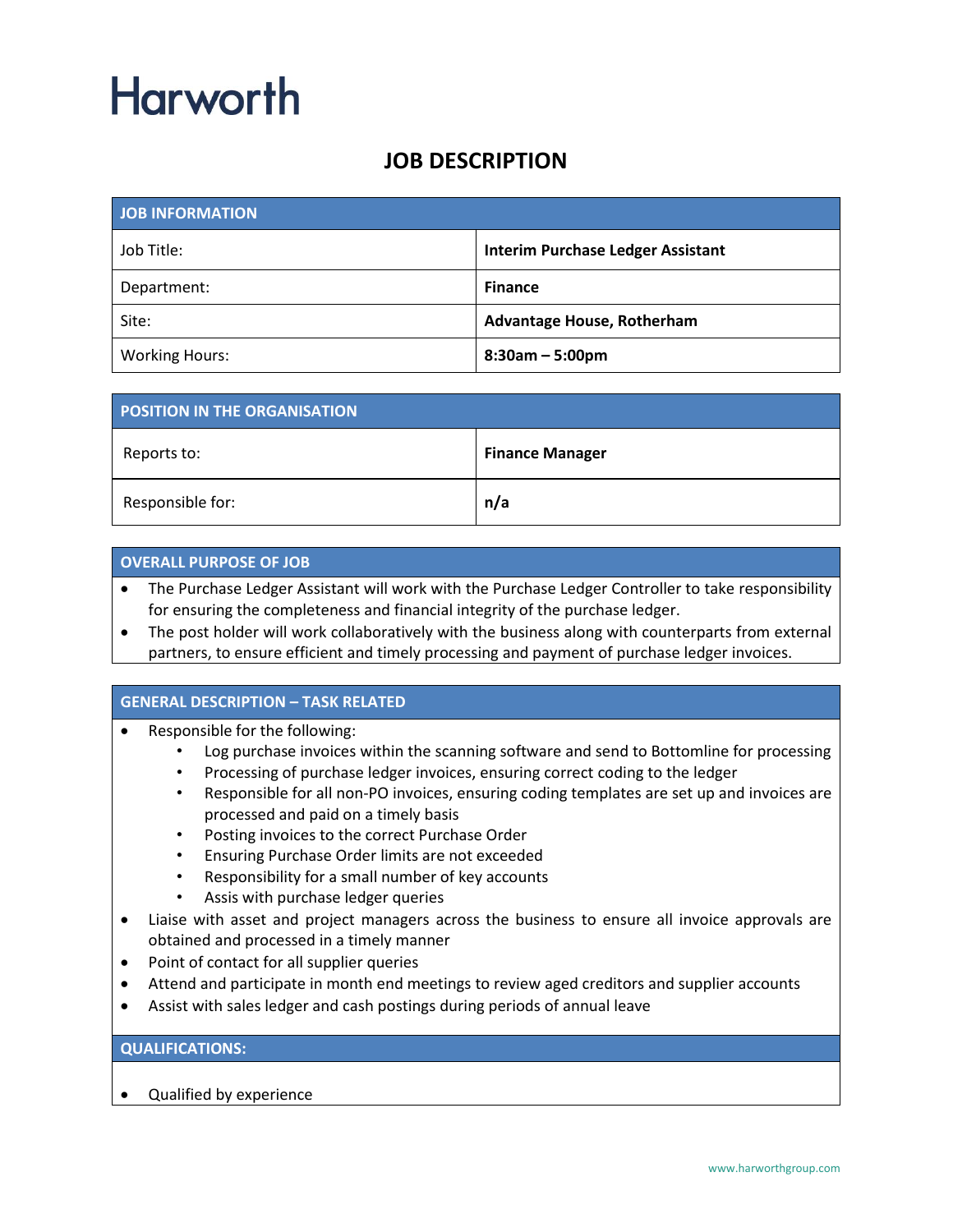## **Harworth**

### **JOB DESCRIPTION**

| <b>JOB INFORMATION</b> |                                          |
|------------------------|------------------------------------------|
| Job Title:             | <b>Interim Purchase Ledger Assistant</b> |
| Department:            | <b>Finance</b>                           |
| Site:                  | <b>Advantage House, Rotherham</b>        |
| <b>Working Hours:</b>  | $8:30am - 5:00pm$                        |

| <b>POSITION IN THE ORGANISATION</b> |                        |
|-------------------------------------|------------------------|
| Reports to:                         | <b>Finance Manager</b> |
| Responsible for:                    | n/a                    |

#### **OVERALL PURPOSE OF JOB**

- The Purchase Ledger Assistant will work with the Purchase Ledger Controller to take responsibility for ensuring the completeness and financial integrity of the purchase ledger.
- The post holder will work collaboratively with the business along with counterparts from external partners, to ensure efficient and timely processing and payment of purchase ledger invoices.

#### **GENERAL DESCRIPTION – TASK RELATED**

- Responsible for the following:
	- Log purchase invoices within the scanning software and send to Bottomline for processing
	- Processing of purchase ledger invoices, ensuring correct coding to the ledger
	- Responsible for all non-PO invoices, ensuring coding templates are set up and invoices are processed and paid on a timely basis
	- Posting invoices to the correct Purchase Order
	- Ensuring Purchase Order limits are not exceeded
	- Responsibility for a small number of key accounts
	- Assis with purchase ledger queries
- Liaise with asset and project managers across the business to ensure all invoice approvals are obtained and processed in a timely manner
- Point of contact for all supplier queries
- Attend and participate in month end meetings to review aged creditors and supplier accounts
- Assist with sales ledger and cash postings during periods of annual leave

#### **QUALIFICATIONS:**

• Qualified by experience